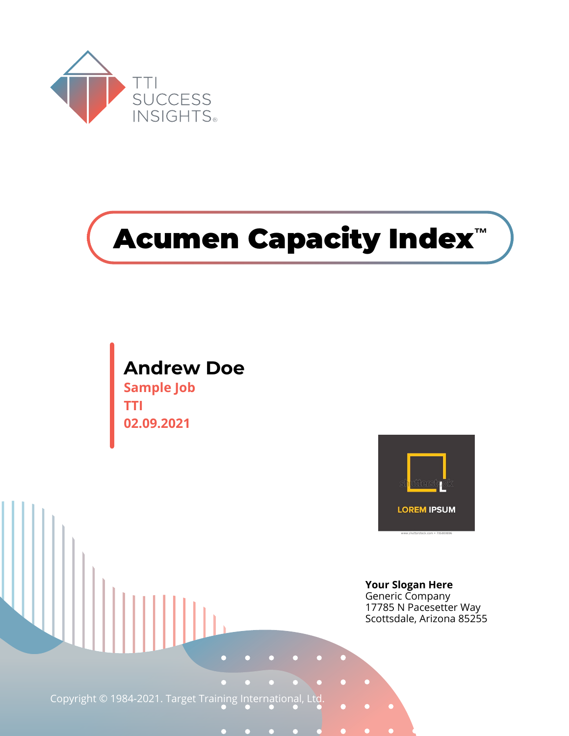

# **Acumen Capacity Index™**

#### **Andrew Doe Sample Job**

**TTI 02.09.2021**



**Your Slogan Here** Generic Company 17785 N Pacesetter Way Scottsdale, Arizona 85255

Copyright © 1984-2021. Target Training International, Ltd.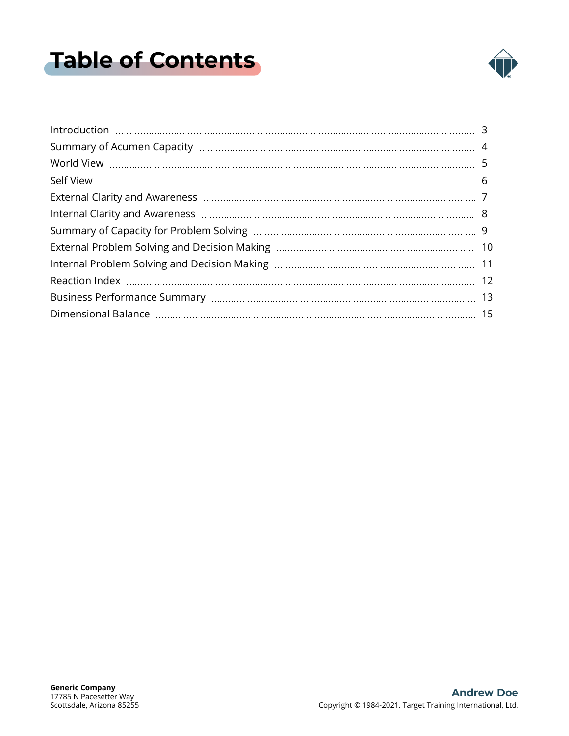## <span id="page-1-0"></span>**Table of Contents**

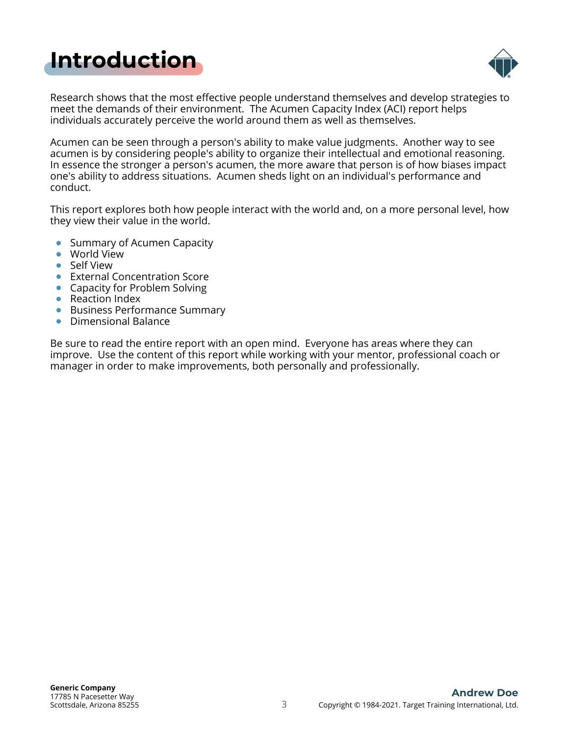## <span id="page-2-0"></span>**[Introduction](#page-1-0)**



Research shows that the most effective people understand themselves and develop strategies to meet the demands of their environment. The Acumen Capacity Index (ACI) report helps individuals accurately perceive the world around them as well as themselves.

Acumen can be seen through a person's ability to make value judgments. Another way to see acumen is by considering people's ability to organize their intellectual and emotional reasoning. In essence the stronger a person's acumen, the more aware that person is of how biases impact one's ability to address situations. Acumen sheds light on an individual's performance and conduct.

This report explores both how people interact with the world and, on a more personal level, how they view their value in the world.

- Summary of Acumen Capacity
- World View
- Self View
- **•** External Concentration Score
- Capacity for Problem Solving
- Reaction Index
- Business Performance Summary
- **•** Dimensional Balance

Be sure to read the entire report with an open mind. Everyone has areas where they can improve. Use the content of this report while working with your mentor, professional coach or manager in order to make improvements, both personally and professionally.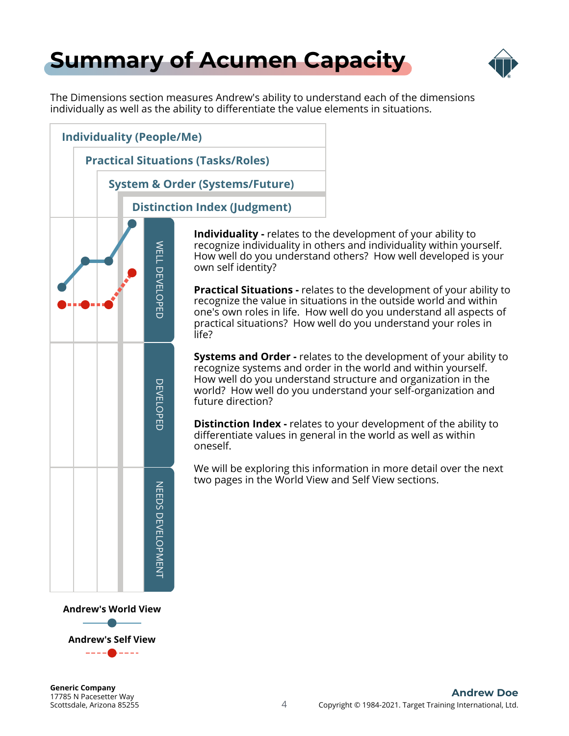### <span id="page-3-0"></span>**[Summary of Acumen Capacity](#page-1-0)**



The Dimensions section measures Andrew's ability to understand each of the dimensions individually as well as the ability to differentiate the value elements in situations.



**Andrew's Self View** ----<del>0</del>----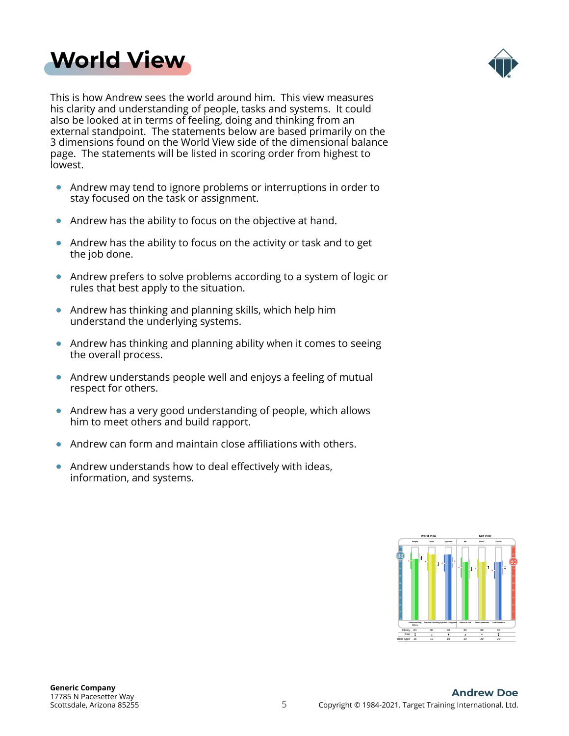<span id="page-4-0"></span>



This is how Andrew sees the world around him. This view measures his clarity and understanding of people, tasks and systems. It could also be looked at in terms of feeling, doing and thinking from an external standpoint. The statements below are based primarily on the 3 dimensions found on the World View side of the dimensional balance page. The statements will be listed in scoring order from highest to lowest.

- $\bullet$ Andrew may tend to ignore problems or interruptions in order to stay focused on the task or assignment.
- Andrew has the ability to focus on the objective at hand.  $\bullet$
- Andrew has the ability to focus on the activity or task and to get  $\bullet$ the job done.
- Andrew prefers to solve problems according to a system of logic or rules that best apply to the situation.
- Andrew has thinking and planning skills, which help him understand the underlying systems.
- Andrew has thinking and planning ability when it comes to seeing the overall process.
- Andrew understands people well and enjoys a feeling of mutual respect for others.
- Andrew has a very good understanding of people, which allows him to meet others and build rapport.
- Andrew can form and maintain close affiliations with others.  $\bullet$
- Andrew understands how to deal effectively with ideas,  $\bullet$ information, and systems.

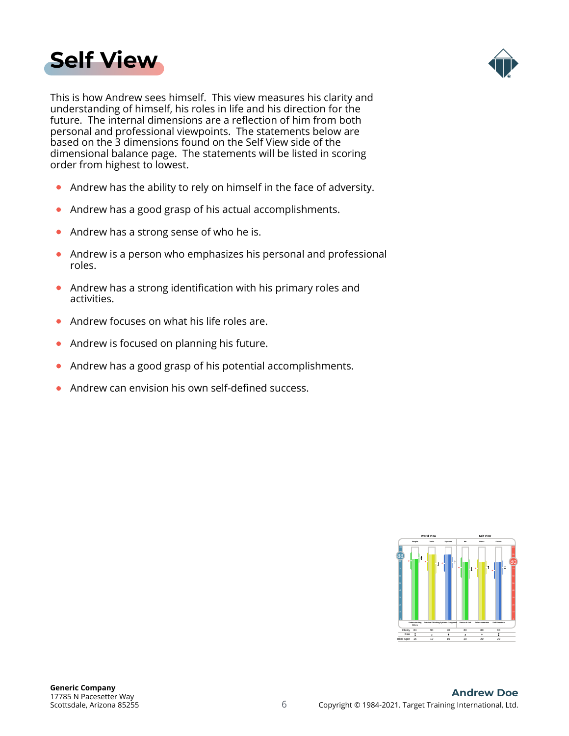<span id="page-5-0"></span>



This is how Andrew sees himself. This view measures his clarity and understanding of himself, his roles in life and his direction for the future. The internal dimensions are a reflection of him from both personal and professional viewpoints. The statements below are based on the 3 dimensions found on the Self View side of the dimensional balance page. The statements will be listed in scoring order from highest to lowest.

- Andrew has the ability to rely on himself in the face of adversity.  $\bullet$
- Andrew has a good grasp of his actual accomplishments.  $\bullet$
- Andrew has a strong sense of who he is.  $\bullet$
- Andrew is a person who emphasizes his personal and professional roles.
- Andrew has a strong identification with his primary roles and  $\bullet$ activities.
- Andrew focuses on what his life roles are.
- Andrew is focused on planning his future.  $\bullet$
- Andrew has a good grasp of his potential accomplishments.  $\bullet$
- Andrew can envision his own self-defined success. ä

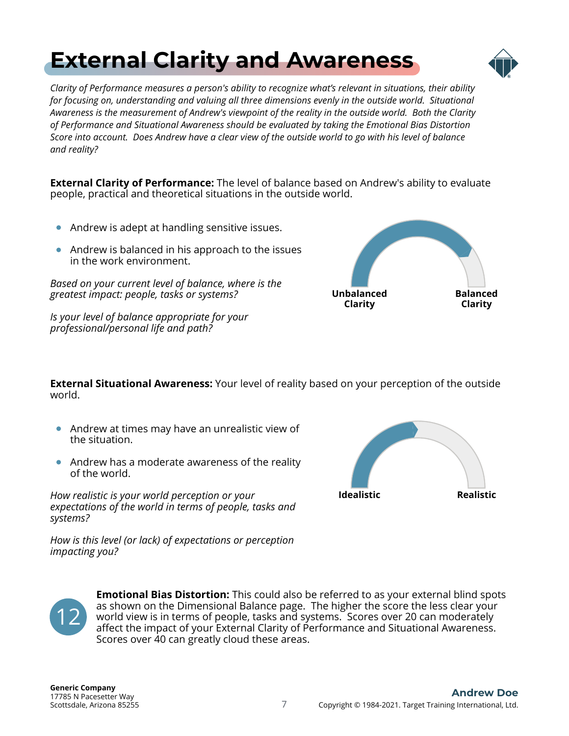### 7 Copyright © 1984-2021. Target Training International, Ltd. **Andrew Doe**

Scottsdale, Arizona 85255 17785 N Pacesetter Way **Generic Company**

12

## <span id="page-6-0"></span>**[External Clarity and Awareness](#page-1-0)**

*Clarity of Performance measures a person's ability to recognize what's relevant in situations, their ability for focusing on, understanding and valuing all three dimensions evenly in the outside world. Situational Awareness is the measurement of Andrew's viewpoint of the reality in the outside world. Both the Clarity of Performance and Situational Awareness should be evaluated by taking the Emotional Bias Distortion Score into account. Does Andrew have a clear view of the outside world to go with his level of balance and reality?*

**External Clarity of Performance:** The level of balance based on Andrew's ability to evaluate people, practical and theoretical situations in the outside world.

- Andrew is adept at handling sensitive issues.
- Andrew is balanced in his approach to the issues in the work environment.

*Based on your current level of balance, where is the greatest impact: people, tasks or systems?*

*Is your level of balance appropriate for your professional/personal life and path?*

**External Situational Awareness:** Your level of reality based on your perception of the outside world.

> **Emotional Bias Distortion:** This could also be referred to as your external blind spots as shown on the Dimensional Balance page. The higher the score the less clear your world view is in terms of people, tasks and systems. Scores over 20 can moderately affect the impact of your External Clarity of Performance and Situational Awareness.

- Andrew at times may have an unrealistic view of the situation.
- Andrew has a moderate awareness of the reality of the world.

*How realistic is your world perception or your expectations of the world in terms of people, tasks and systems?*

*How is this level (or lack) of expectations or perception impacting you?*

Scores over 40 can greatly cloud these areas.







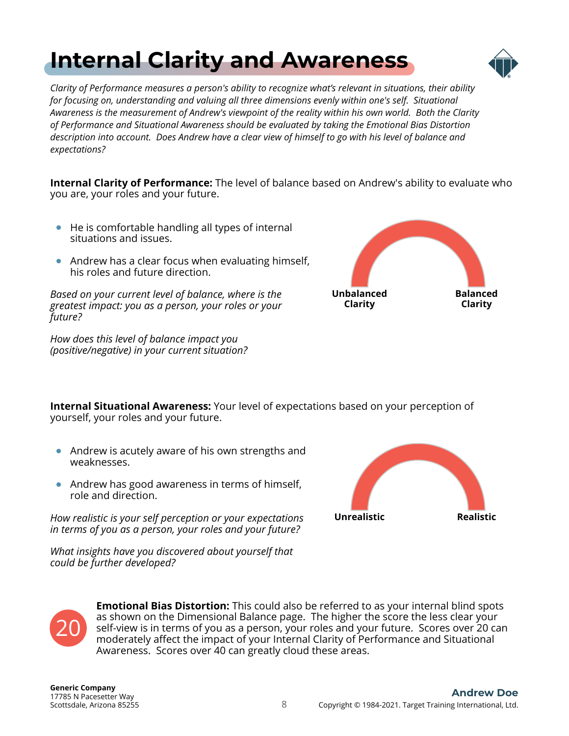## <span id="page-7-0"></span>**[Internal Clarity and Awareness](#page-1-0)**



*Clarity of Performance measures a person's ability to recognize what's relevant in situations, their ability for focusing on, understanding and valuing all three dimensions evenly within one's self. Situational Awareness is the measurement of Andrew's viewpoint of the reality within his own world. Both the Clarity of Performance and Situational Awareness should be evaluated by taking the Emotional Bias Distortion description into account. Does Andrew have a clear view of himself to go with his level of balance and expectations?*

**Internal Clarity of Performance:** The level of balance based on Andrew's ability to evaluate who you are, your roles and your future.

- He is comfortable handling all types of internal situations and issues.
- Andrew has a clear focus when evaluating himself, his roles and future direction.

*Based on your current level of balance, where is the greatest impact: you as a person, your roles or your future?*

*How does this level of balance impact you (positive/negative) in your current situation?*



**Internal Situational Awareness:** Your level of expectations based on your perception of yourself, your roles and your future.

- Andrew is acutely aware of his own strengths and weaknesses.
- Andrew has good awareness in terms of himself, role and direction.

*How realistic is your self perception or your expectations in terms of you as a person, your roles and your future?*

*What insights have you discovered about yourself that could be further developed?*





**Emotional Bias Distortion:** This could also be referred to as your internal blind spots as shown on the Dimensional Balance page. The higher the score the less clear your self-view is in terms of you as a person, your roles and your future. Scores over 20 can moderately affect the impact of your Internal Clarity of Performance and Situational Awareness. Scores over 40 can greatly cloud these areas.

Scottsdale, Arizona 85255 17785 N Pacesetter Way **Generic Company**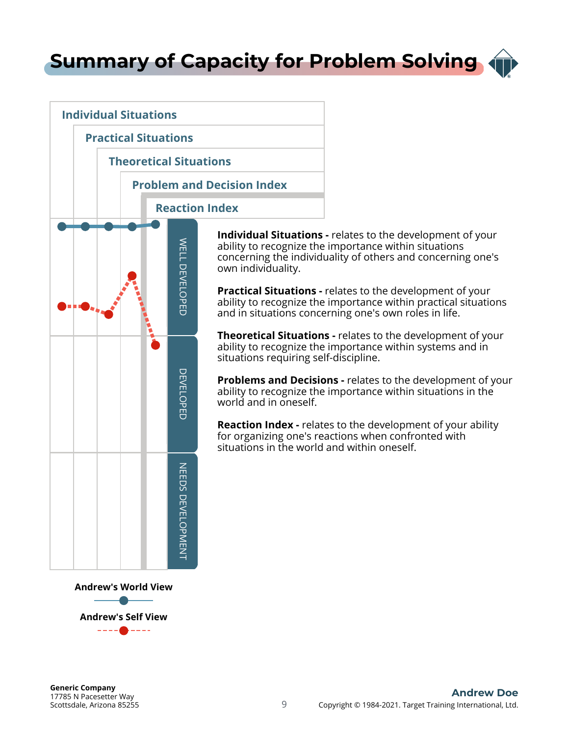<span id="page-8-0"></span>**[Summary of Capacity for Problem Solving](#page-1-0)**



**Individual Situations -** relates to the development of your ability to recognize the importance within situations concerning the individuality of others and concerning one's own individuality.

**Practical Situations -** relates to the development of your ability to recognize the importance within practical situations and in situations concerning one's own roles in life.

**Theoretical Situations -** relates to the development of your ability to recognize the importance within systems and in situations requiring self-discipline.

**Problems and Decisions -** relates to the development of your ability to recognize the importance within situations in the world and in oneself.

**Reaction Index -** relates to the development of your ability for organizing one's reactions when confronted with situations in the world and within oneself.

**Andrew's Self View**

 $\begin{tabular}{cc} - & - & - \\ - & - & - \\ \hline \end{tabular}$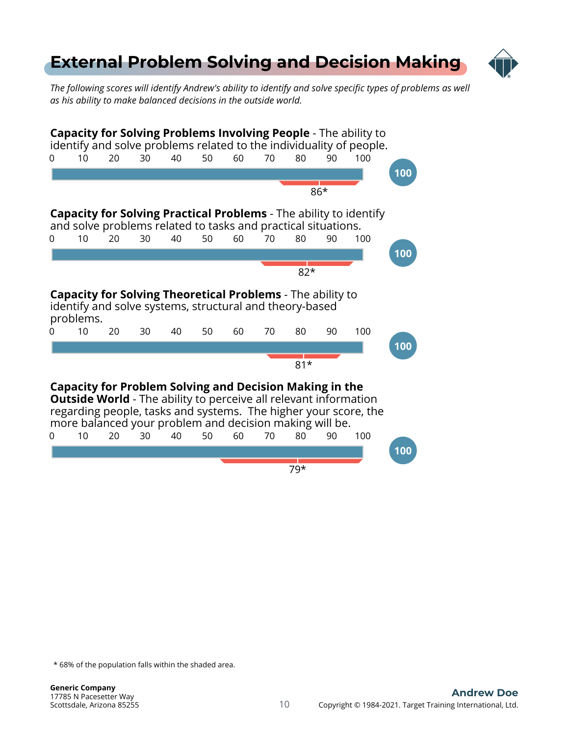#### <span id="page-9-0"></span>**[External Problem Solving and Decision Making](#page-1-0)**



*The following scores will identify Andrew's ability to identify and solve specific types of problems as well as his ability to make balanced decisions in the outside world.*

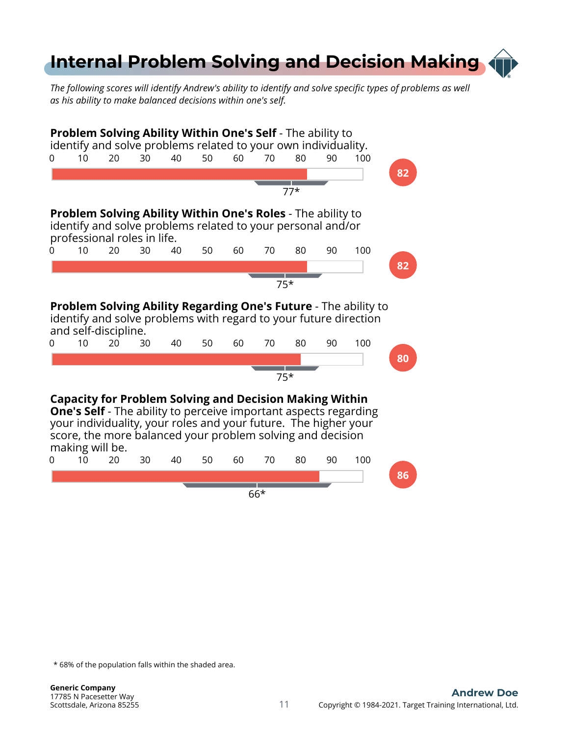### <span id="page-10-0"></span>**[Internal Problem Solving and Decision Making](#page-1-0)**

*The following scores will identify Andrew's ability to identify and solve specific types of problems as well as his ability to make balanced decisions within one's self.*

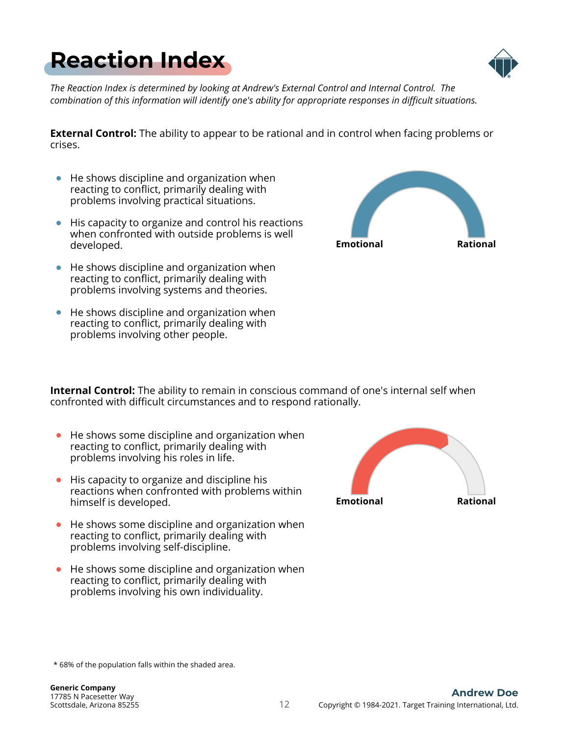

*The Reaction Index is determined by looking at Andrew's External Control and Internal Control. The combination of this information will identify one's ability for appropriate responses in difficult situations.*

**External Control:** The ability to appear to be rational and in control when facing problems or crises.

- $\bullet$  He shows discipline and organization when reacting to conflict, primarily dealing with problems involving practical situations.
- His capacity to organize and control his reactions when confronted with outside problems is well developed.
- $\bullet$  He shows discipline and organization when reacting to conflict, primarily dealing with problems involving systems and theories.
- He shows discipline and organization when reacting to conflict, primarily dealing with problems involving other people.

**Internal Control:** The ability to remain in conscious command of one's internal self when confronted with difficult circumstances and to respond rationally.

- He shows some discipline and organization when reacting to conflict, primarily dealing with problems involving his roles in life.
- **•** His capacity to organize and discipline his reactions when confronted with problems within himself is developed.
- He shows some discipline and organization when reacting to conflict, primarily dealing with problems involving self-discipline.
- He shows some discipline and organization when reacting to conflict, primarily dealing with problems involving his own individuality.







<span id="page-11-0"></span>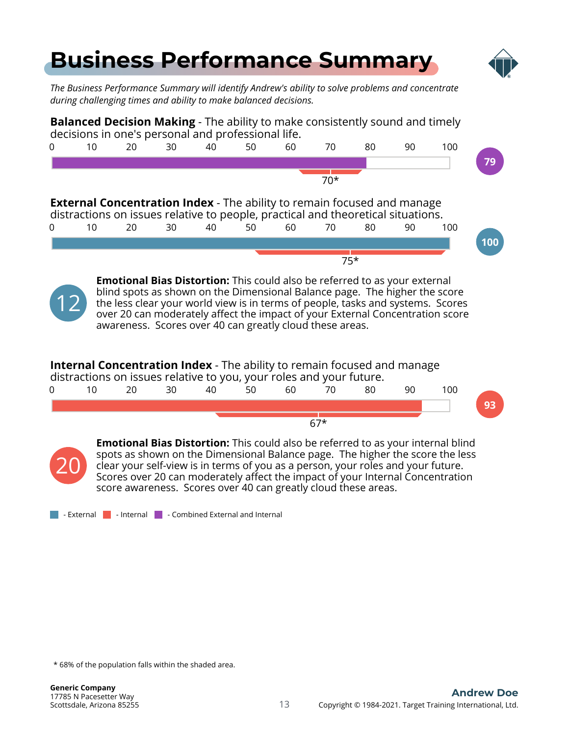<span id="page-12-0"></span>

clear your self-view is in terms of you as a person, your roles and your future. Scores over 20 can moderately affect the impact of your Internal Concentration score awareness. Scores over 40 can greatly cloud these areas.

 $\blacksquare$  - External  $\blacksquare$  - Internal  $\blacksquare$  - Combined External and Internal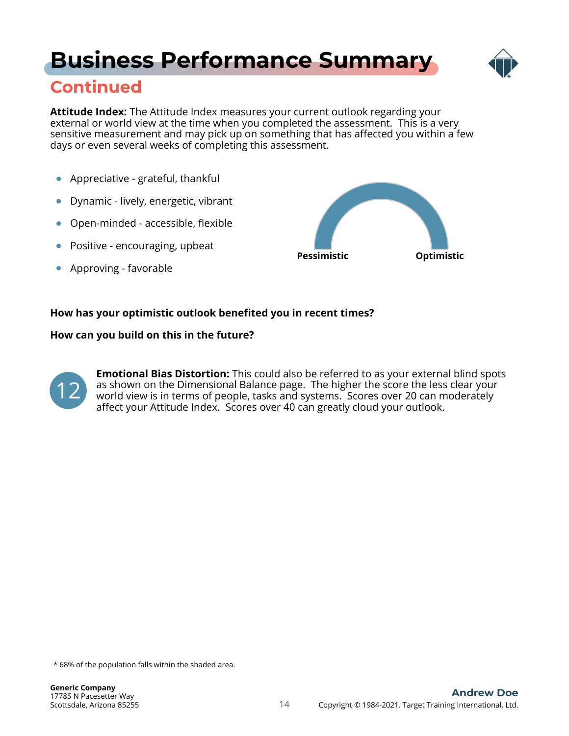### **[Business Performance Summary](#page-1-0)**



#### **Continued**

**Attitude Index:** The Attitude Index measures your current outlook regarding your external or world view at the time when you completed the assessment. This is a very sensitive measurement and may pick up on something that has affected you within a few days or even several weeks of completing this assessment.

- Appreciative grateful, thankful  $\bullet$
- Dynamic lively, energetic, vibrant  $\bullet$
- Open-minded accessible, flexible  $\bullet$
- Positive encouraging, upbeat
- Approving favorable  $\bullet$



#### **How has your optimistic outlook benefited you in recent times?**

#### **How can you build on this in the future?**



**Emotional Bias Distortion:** This could also be referred to as your external blind spots as shown on the Dimensional Balance page. The higher the score the less clear your world view is in terms of people, tasks and systems. Scores over 20 can moderately affect your Attitude Index. Scores over 40 can greatly cloud your outlook.